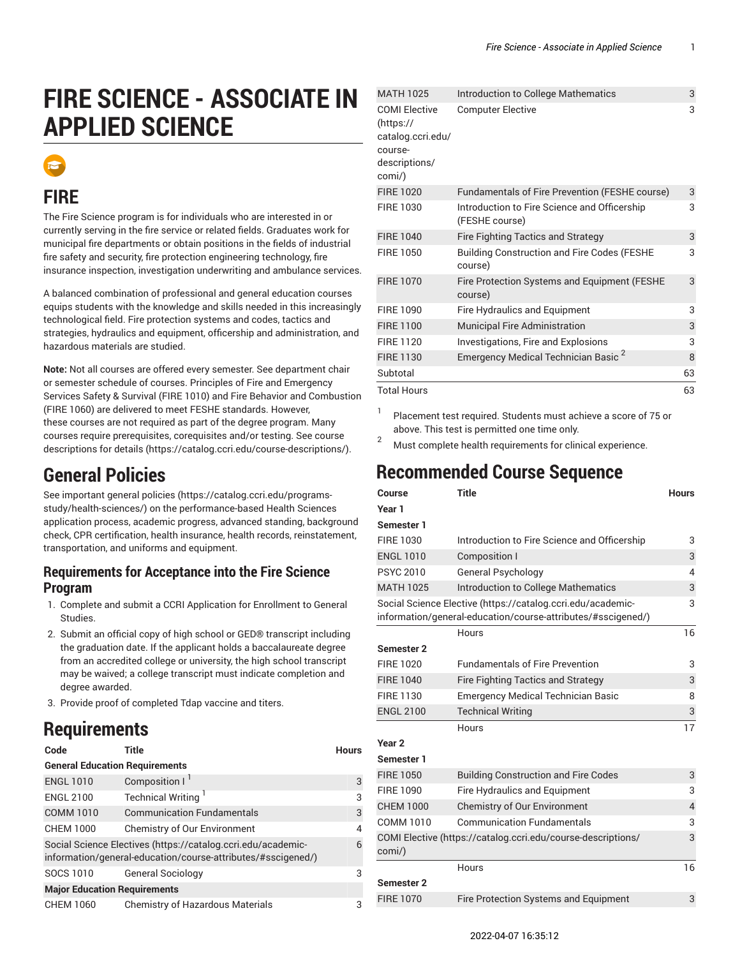# **FIRE SCIENCE - ASSOCIATE IN APPLIED SCIENCE**



### **FIRE**

The Fire Science program is for individuals who are interested in or currently serving in the fire service or related fields. Graduates work for municipal fire departments or obtain positions in the fields of industrial fire safety and security, fire protection engineering technology, fire insurance inspection, investigation underwriting and ambulance services.

A balanced combination of professional and general education courses equips students with the knowledge and skills needed in this increasingly technological field. Fire protection systems and codes, tactics and strategies, hydraulics and equipment, officership and administration, and hazardous materials are studied.

**Note:** Not all courses are offered every semester. See department chair or semester schedule of courses. Principles of Fire and Emergency Services Safety & Survival (FIRE 1010) and Fire Behavior and Combustion (FIRE 1060) are delivered to meet FESHE standards. However, these courses are not required as part of the degree program. Many courses require prerequisites, corequisites and/or testing. [See course](https://catalog.ccri.edu/course-descriptions/) [descriptions for details \(https://catalog.ccri.edu/course-descriptions/](https://catalog.ccri.edu/course-descriptions/)).

### **General Policies**

See important [general policies](https://catalog.ccri.edu/programs-study/health-sciences/) ([https://catalog.ccri.edu/programs](https://catalog.ccri.edu/programs-study/health-sciences/)[study/health-sciences/](https://catalog.ccri.edu/programs-study/health-sciences/)) on the performance-based Health Sciences application process, academic progress, advanced standing, background check, CPR certification, health insurance, health records, reinstatement, transportation, and uniforms and equipment.

#### **Requirements for Acceptance into the Fire Science Program**

- 1. Complete and submit a CCRI Application for Enrollment to General Studies.
- 2. Submit an official copy of high school or GED® transcript including the graduation date. If the applicant holds a baccalaureate degree from an accredited college or university, the high school transcript may be waived; a college transcript must indicate completion and degree awarded.
- 3. Provide proof of completed Tdap vaccine and titers.

### **Requirements**

| Code                                                                                                                         | Title                                   | <b>Hours</b> |  |  |
|------------------------------------------------------------------------------------------------------------------------------|-----------------------------------------|--------------|--|--|
| <b>General Education Requirements</b>                                                                                        |                                         |              |  |  |
| <b>ENGL 1010</b>                                                                                                             | Composition I <sup>1</sup>              | 3            |  |  |
| <b>ENGL 2100</b>                                                                                                             | Technical Writing <sup>1</sup>          | 3            |  |  |
| <b>COMM 1010</b>                                                                                                             | <b>Communication Fundamentals</b>       | 3            |  |  |
| <b>CHEM 1000</b>                                                                                                             | <b>Chemistry of Our Environment</b>     | 4            |  |  |
| Social Science Electives (https://catalog.ccri.edu/academic-<br>information/general-education/course-attributes/#sscigened/) |                                         |              |  |  |
| SOCS 1010                                                                                                                    | <b>General Sociology</b>                | 3            |  |  |
| <b>Major Education Requirements</b>                                                                                          |                                         |              |  |  |
| <b>CHEM 1060</b>                                                                                                             | <b>Chemistry of Hazardous Materials</b> | 3            |  |  |

|  | <b>MATH 1025</b>                                                                            | Introduction to College Mathematics                            | 3  |
|--|---------------------------------------------------------------------------------------------|----------------------------------------------------------------|----|
|  | <b>COMI Elective</b><br>(htps://<br>catalog.ccri.edu/<br>course-<br>descriptions/<br>comi/) | <b>Computer Elective</b>                                       | 3  |
|  | <b>FIRE 1020</b>                                                                            | Fundamentals of Fire Prevention (FESHE course)                 | 3  |
|  | <b>FIRE 1030</b>                                                                            | Introduction to Fire Science and Officership<br>(FESHE course) | 3  |
|  | <b>FIRE 1040</b>                                                                            | <b>Fire Fighting Tactics and Strategy</b>                      | 3  |
|  | <b>FIRE 1050</b>                                                                            | <b>Building Construction and Fire Codes (FESHE</b><br>course)  | 3  |
|  | <b>FIRE 1070</b>                                                                            | Fire Protection Systems and Equipment (FESHE<br>course)        | 3  |
|  | <b>FIRE 1090</b>                                                                            | Fire Hydraulics and Equipment                                  | 3  |
|  | <b>FIRE 1100</b>                                                                            | <b>Municipal Fire Administration</b>                           | 3  |
|  | <b>FIRE 1120</b>                                                                            | Investigations, Fire and Explosions                            | 3  |
|  | <b>FIRE 1130</b>                                                                            | Emergency Medical Technician Basic <sup>2</sup>                | 8  |
|  | Subtotal                                                                                    |                                                                | 63 |
|  | <b>Total Hours</b>                                                                          |                                                                | 63 |
|  |                                                                                             |                                                                |    |

1 Placement test required. Students must achieve a score of 75 or above. This test is permitted one time only.

<sup>2</sup> Must complete health requirements for clinical experience.

### **Recommended Course Sequence**

| Course<br>Year 1  | <b>Title</b>                                                                                                                | <b>Hours</b> |
|-------------------|-----------------------------------------------------------------------------------------------------------------------------|--------------|
| <b>Semester 1</b> |                                                                                                                             |              |
| FIRE 1030         | Introduction to Fire Science and Officership                                                                                | 3            |
| <b>ENGL 1010</b>  | <b>Composition I</b>                                                                                                        | 3            |
| <b>PSYC 2010</b>  | <b>General Psychology</b>                                                                                                   | 4            |
| <b>MATH 1025</b>  | Introduction to College Mathematics                                                                                         | 3            |
|                   | Social Science Elective (https://catalog.ccri.edu/academic-<br>information/general-education/course-attributes/#sscigened/) | 3            |
|                   | Hours                                                                                                                       | 16           |
| Semester 2        |                                                                                                                             |              |
| <b>FIRE 1020</b>  | <b>Fundamentals of Fire Prevention</b>                                                                                      | 3            |
| <b>FIRE 1040</b>  | <b>Fire Fighting Tactics and Strategy</b>                                                                                   | 3            |
| FIRE 1130         | <b>Emergency Medical Technician Basic</b>                                                                                   | 8            |
| <b>ENGL 2100</b>  | <b>Technical Writing</b>                                                                                                    | 3            |
|                   | Hours                                                                                                                       | 17           |
| Year <sub>2</sub> |                                                                                                                             |              |
| Semester 1        |                                                                                                                             |              |
| FIRF 1050         | <b>Building Construction and Fire Codes</b>                                                                                 | 3            |
| FIRF 1090         | <b>Fire Hydraulics and Equipment</b>                                                                                        | 3            |
| <b>CHEM 1000</b>  | <b>Chemistry of Our Environment</b>                                                                                         | 4            |
| COMM 1010         | <b>Communication Fundamentals</b>                                                                                           | 3            |
| comi/)            | COMI Elective (https://catalog.ccri.edu/course-descriptions/                                                                | 3            |
|                   | Hours                                                                                                                       | 16           |
| Semester 2        |                                                                                                                             |              |
| <b>FIRE 1070</b>  | Fire Protection Systems and Equipment                                                                                       | 3            |